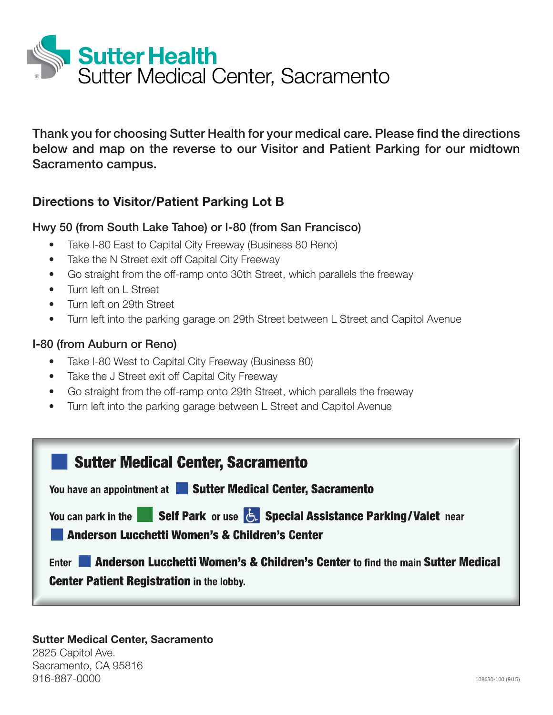

Thank you for choosing Sutter Health for your medical care. Please find the directions below and map on the reverse to our Visitor and Patient Parking for our midtown Sacramento campus.

## **Directions to Visitor/Patient Parking Lot B**

## Hwy 50 (from South Lake Tahoe) or I-80 (from San Francisco)

- Take I-80 East to Capital City Freeway (Business 80 Reno)
- Take the N Street exit off Capital City Freeway
- Go straight from the off-ramp onto 30th Street, which parallels the freeway
- Turn left on L Street
- Turn left on 29th Street
- Turn left into the parking garage on 29th Street between L Street and Capitol Avenue

## I-80 (from Auburn or Reno)

- Take I-80 West to Capital City Freeway (Business 80)
- Take the J Street exit off Capital City Freeway
- Go straight from the off-ramp onto 29th Street, which parallels the freeway
- Turn left into the parking garage between L Street and Capitol Avenue



## **Sutter Medical Center, Sacramento**

2825 Capitol Ave. Sacramento, CA 95816 916-887-0000 108630-100 (9/15) 108630-100 (9/15) 108630-100 (9/15) 108630-100 (9/15)